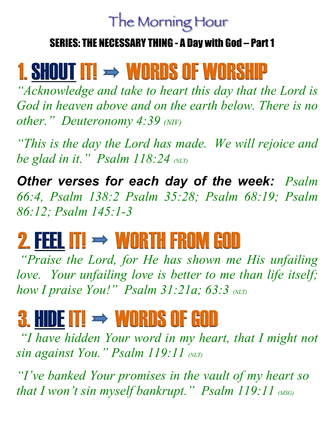### The Morning Hour

#### SERIES: THE NECESSARY THING - A Day with God – Part 1

## 1. SHOUT IT!  $\rightarrow$  WORDS OF WORSHIP

*"Acknowledge and take to heart this day that the Lord is God in heaven above and on the earth below. There is no other." Deuteronomy 4:39 (NIV)*

*"This is the day the Lord has made. We will rejoice and be glad in it." Psalm 118:24 (NLT)* 

*Other verses for each day of the week: Psalm 66:4, Psalm 138:2 Psalm 35:28; Psalm 68:19; Psalm 86:12; Psalm 145:1-3*

# 2. FEEL IT!  $\rightarrow$  WORTH FROM GOD

*"Praise the Lord, for He has shown me His unfailing love. Your unfailing love is better to me than life itself; how I praise You!" Psalm 31:21a; 63:3 (NLT)* 

# 3. HIDE IT!  $\rightarrow$  WORDS OF GOD

*"I have hidden Your word in my heart, that I might not sin against You." Psalm 119:11 (NLT)* 

*"I've banked Your promises in the vault of my heart so that I won't sin myself bankrupt." Psalm 119:11 (MSG)*